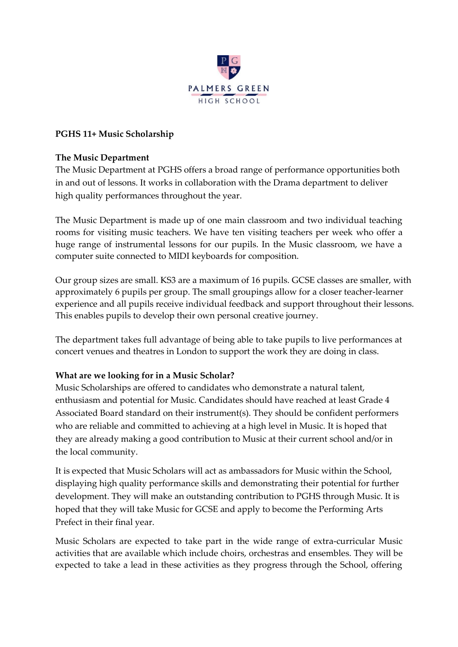

# **PGHS 11+ Music Scholarship**

### **The Music Department**

The Music Department at PGHS offers a broad range of performance opportunities both in and out of lessons. It works in collaboration with the Drama department to deliver high quality performances throughout the year.

The Music Department is made up of one main classroom and two individual teaching rooms for visiting music teachers. We have ten visiting teachers per week who offer a huge range of instrumental lessons for our pupils. In the Music classroom, we have a computer suite connected to MIDI keyboards for composition.

Our group sizes are small. KS3 are a maximum of 16 pupils. GCSE classes are smaller, with approximately 6 pupils per group. The small groupings allow for a closer teacher-learner experience and all pupils receive individual feedback and support throughout their lessons. This enables pupils to develop their own personal creative journey.

The department takes full advantage of being able to take pupils to live performances at concert venues and theatres in London to support the work they are doing in class.

### **What are we looking for in a Music Scholar?**

Music Scholarships are offered to candidates who demonstrate a natural talent, enthusiasm and potential for Music. Candidates should have reached at least Grade 4 Associated Board standard on their instrument(s). They should be confident performers who are reliable and committed to achieving at a high level in Music. It is hoped that they are already making a good contribution to Music at their current school and/or in the local community.

It is expected that Music Scholars will act as ambassadors for Music within the School, displaying high quality performance skills and demonstrating their potential for further development. They will make an outstanding contribution to PGHS through Music. It is hoped that they will take Music for GCSE and apply to become the Performing Arts Prefect in their final year.

Music Scholars are expected to take part in the wide range of extra-curricular Music activities that are available which include choirs, orchestras and ensembles. They will be expected to take a lead in these activities as they progress through the School, offering